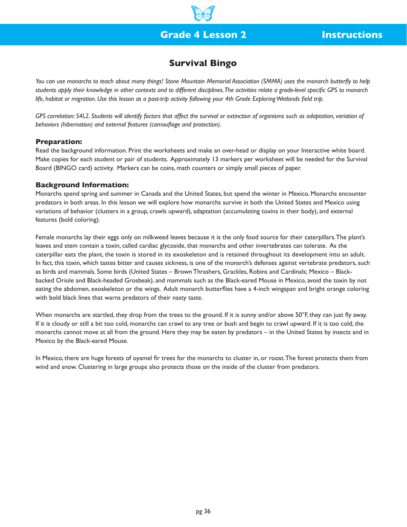# **Grade 4 Lesson 2 Instructions**

## **Survival Bingo**

*You can use monarchs to teach about many things! Stone Mountain Memorial Association (SMMA) uses the monarch butterfly to help students apply their knowledge in other contexts and to different disciplines. The activities relate a grade-level specific GPS to monarch life, habitat or migration. Use this lesson as a post-trip activity following your 4th Grade Exploring Wetlands field trip.*

*GPS correlation: S4L2. Students will identify factors that affect the survival or extinction of organisms such as adaptation, variation of behaviors (hibernation) and external features (camouflage and protection).* 

### **Preparation:**

Read the background information. Print the worksheets and make an over-head or display on your Interactive white board. Make copies for each student or pair of students. Approximately 13 markers per worksheet will be needed for the Survival Board (BINGO card) activity. Markers can be coins, math counters or simply small pieces of paper.

#### **Background Information:**

Monarchs spend spring and summer in Canada and the United States, but spend the winter in Mexico. Monarchs encounter predators in both areas. In this lesson we will explore how monarchs survive in both the United States and Mexico using variations of behavior (clusters in a group, crawls upward), adaptation (accumulating toxins in their body), and external features (bold coloring).

Female monarchs lay their eggs only on milkweed leaves because it is the only food source for their caterpillars. The plant's leaves and stem contain a toxin, called cardiac glycoside, that monarchs and other invertebrates can tolerate. As the caterpillar eats the plant, the toxin is stored in its exoskeleton and is retained throughout its development into an adult. In fact, this toxin, which tastes bitter and causes sickness, is one of the monarch's defenses against vertebrate predators, such as birds and mammals. Some birds (United States – Brown Thrashers, Grackles, Robins and Cardinals; Mexico – Blackbacked Oriole and Black-headed Grosbeak), and mammals such as the Black-eared Mouse in Mexico, avoid the toxin by not eating the abdomen, exoskeleton or the wings. Adult monarch butterflies have a 4-inch wingspan and bright orange coloring with bold black lines that warns predators of their nasty taste.

When monarchs are startled, they drop from the trees to the ground. If it is sunny and/or above 50°F, they can just fly away. If it is cloudy or still a bit too cold, monarchs can crawl to any tree or bush and begin to crawl upward. If it is too cold, the monarchs cannot move at all from the ground. Here they may be eaten by predators – in the United States by insects and in Mexico by the Black-eared Mouse.

In Mexico, there are huge forests of oyamel fir trees for the monarchs to cluster in, or roost. The forest protects them from wind and snow. Clustering in large groups also protects those on the inside of the cluster from predators.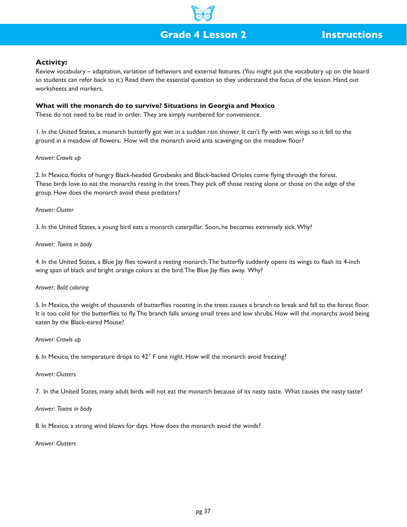# **Grade 4 Lesson 2 Instructions**

## **Activity:**

Review vocabulary – adaptation, variation of behaviors and external features. (You might put the vocabulary up on the board so students can refer back to it.) Read them the essential question so they understand the focus of the lesson. Hand out worksheets and markers.

#### **What will the monarch do to survive? Situations in Georgia and Mexico**

These do not need to be read in order. They are simply numbered for convenience.

1. In the United States, a monarch butterfly got wet in a sudden rain shower. It can't fly with wet wings so it fell to the ground in a meadow of flowers. How will the monarch avoid ants scavenging on the meadow floor?

#### *Answer: Crawls up*

2. In Mexico, flocks of hungry Black-headed Grosbeaks and Black-backed Orioles come flying through the forest. These birds love to eat the monarchs resting in the trees. They pick off those resting alone or those on the edge of the group. How does the monarch avoid these predators?

## *Answer: Cluster*

3. In the United States, a young bird eats a monarch caterpillar. Soon, he becomes extremely sick. Why?

#### *Answer: Toxins in body*

4. In the United States, a Blue Jay flies toward a resting monarch. The butterfly suddenly opens its wings to flash its 4-inch wing span of black and bright orange colors at the bird. The Blue Jay flies away. Why?

#### *Answer: Bold coloring*

5. In Mexico, the weight of thousands of butterflies roosting in the trees causes a branch to break and fall to the forest floor. It is too cold for the butterflies to fly. The branch falls among small trees and low shrubs. How will the monarchs avoid being eaten by the Black-eared Mouse?

#### *Answer: Crawls up*

6. In Mexico, the temperature drops to 42° F one night. How will the monarch avoid freezing?

#### *Answer: Clusters*

7. In the United States, many adult birds will not eat the monarch because of its nasty taste. What causes the nasty taste?

#### *Answer: Toxins in body*

8. In Mexico, a strong wind blows for days. How does the monarch avoid the winds?

#### *Answer: Clusters*